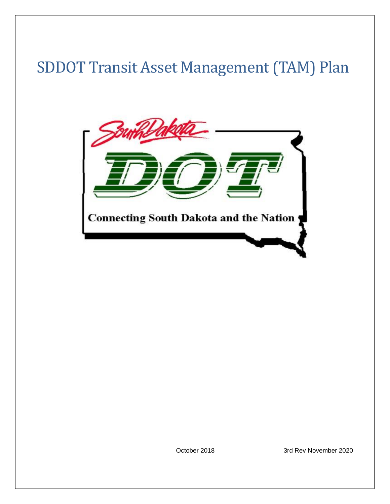# SDDOT Transit Asset Management (TAM) Plan



October 2018 3rd Rev November 2020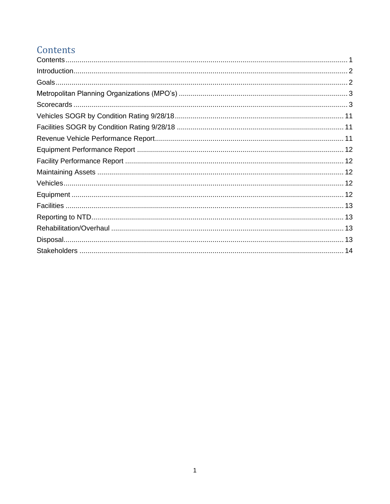## <span id="page-1-0"></span>Contents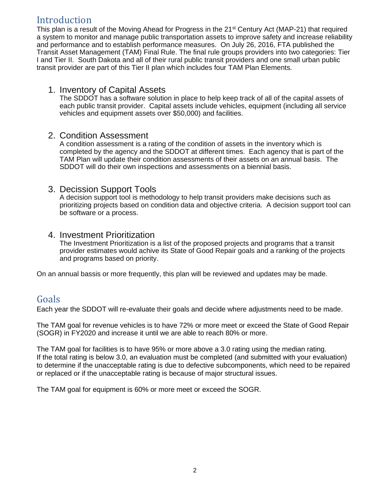### <span id="page-2-0"></span>Introduction

This plan is a result of the Moving Ahead for Progress in the 21<sup>st</sup> Century Act (MAP-21) that required a system to monitor and manage public transportation assets to improve safety and increase reliability and performance and to establish performance measures. On July 26, 2016, FTA published the Transit Asset Management (TAM) Final Rule. The final rule groups providers into two categories: Tier I and Tier II. South Dakota and all of their rural public transit providers and one small urban public transit provider are part of this Tier II plan which includes four TAM Plan Elements.

#### 1. Inventory of Capital Assets

The SDDOT has a software solution in place to help keep track of all of the capital assets of each public transit provider. Capital assets include vehicles, equipment (including all service vehicles and equipment assets over \$50,000) and facilities.

#### 2. Condition Assessment

A condition assessment is a rating of the condition of assets in the inventory which is completed by the agency and the SDDOT at different times. Each agency that is part of the TAM Plan will update their condition assessments of their assets on an annual basis. The SDDOT will do their own inspections and assessments on a biennial basis.

#### 3. Decission Support Tools

A decision support tool is methodology to help transit providers make decisions such as prioritizing projects based on condition data and objective criteria. A decision support tool can be software or a process.

#### 4. Investment Prioritization

The Investment Prioritization is a list of the proposed projects and programs that a transit provider estimates would achive its State of Good Repair goals and a ranking of the projects and programs based on priority.

On an annual bassis or more frequently, this plan will be reviewed and updates may be made.

### <span id="page-2-1"></span>Goals

Each year the SDDOT will re-evaluate their goals and decide where adjustments need to be made.

The TAM goal for revenue vehicles is to have 72% or more meet or exceed the State of Good Repair (SOGR) in FY2020 and increase it until we are able to reach 80% or more.

The TAM goal for facilities is to have 95% or more above a 3.0 rating using the median rating. If the total rating is below 3.0, an evaluation must be completed (and submitted with your evaluation) to determine if the unacceptable rating is due to defective subcomponents, which need to be repaired or replaced or if the unacceptable rating is because of major structural issues.

The TAM goal for equipment is 60% or more meet or exceed the SOGR.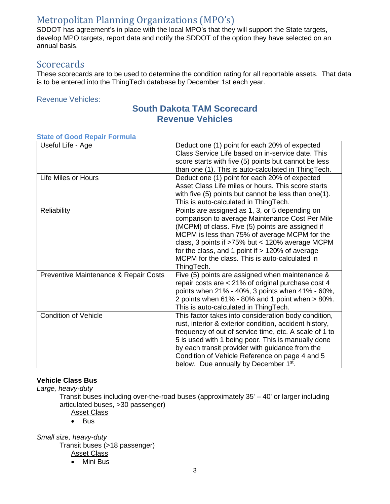### <span id="page-3-0"></span>Metropolitan Planning Organizations (MPO's)

SDDOT has agreement's in place with the local MPO's that they will support the State targets, develop MPO targets, report data and notify the SDDOT of the option they have selected on an annual basis.

### <span id="page-3-1"></span>**Scorecards**

These scorecards are to be used to determine the condition rating for all reportable assets. That data is to be entered into the ThingTech database by December 1st each year.

Revenue Vehicles:

#### **South Dakota TAM Scorecard Revenue Vehicles**

| rato or occa riopan i ormaic          |                                                                                                                                                                                                                                                                                                                                                                                          |
|---------------------------------------|------------------------------------------------------------------------------------------------------------------------------------------------------------------------------------------------------------------------------------------------------------------------------------------------------------------------------------------------------------------------------------------|
| Useful Life - Age                     | Deduct one (1) point for each 20% of expected<br>Class Service Life based on in-service date. This<br>score starts with five (5) points but cannot be less<br>than one (1). This is auto-calculated in ThingTech.                                                                                                                                                                        |
| Life Miles or Hours                   | Deduct one (1) point for each 20% of expected<br>Asset Class Life miles or hours. This score starts<br>with five (5) points but cannot be less than one(1).<br>This is auto-calculated in ThingTech.                                                                                                                                                                                     |
| <b>Reliability</b>                    | Points are assigned as 1, 3, or 5 depending on<br>comparison to average Maintenance Cost Per Mile<br>(MCPM) of class. Five (5) points are assigned if<br>MCPM is less than 75% of average MCPM for the<br>class, 3 points if >75% but < 120% average MCPM<br>for the class, and 1 point if $> 120\%$ of average<br>MCPM for the class. This is auto-calculated in<br>ThingTech.          |
| Preventive Maintenance & Repair Costs | Five (5) points are assigned when maintenance &<br>repair costs are < 21% of original purchase cost 4<br>points when 21% - 40%, 3 points when 41% - 60%,<br>2 points when $61\%$ - 80% and 1 point when $> 80\%$ .<br>This is auto-calculated in ThingTech.                                                                                                                              |
| <b>Condition of Vehicle</b>           | This factor takes into consideration body condition,<br>rust, interior & exterior condition, accident history,<br>frequency of out of service time, etc. A scale of 1 to<br>5 is used with 1 being poor. This is manually done<br>by each transit provider with guidance from the<br>Condition of Vehicle Reference on page 4 and 5<br>below. Due annually by December 1 <sup>st</sup> . |

#### **State of Good Repair Formula**

#### **Vehicle Class Bus**

*Large, heavy-duty*

Transit buses including over-the-road buses (approximately 35' – 40' or larger including articulated buses, >30 passenger)

#### **Asset Class**

• Bus

*Small size, heavy-duty* 

Transit buses (>18 passenger)

**Asset Class** 

• Mini Bus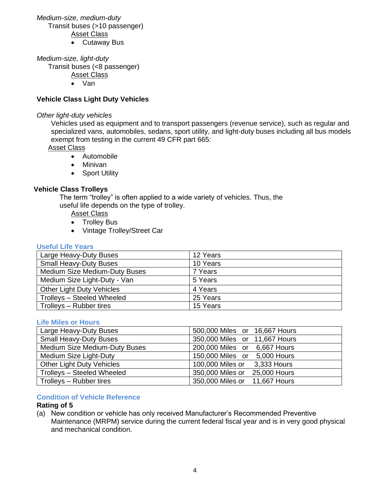#### *Medium-size, medium-duty* Transit buses (>10 passenger)

Asset Class

• Cutaway Bus

*Medium-size, light-duty* 

Transit buses (<8 passenger)

- Asset Class
- Van

#### **Vehicle Class Light Duty Vehicles**

#### *Other light-duty vehicles*

Vehicles used as equipment and to transport passengers (revenue service), such as regular and specialized vans, automobiles, sedans, sport utility, and light-duty buses including all bus models exempt from testing in the current 49 CFR part 665:

#### Asset Class

- Automobile
- Minivan
- Sport Utility

#### **Vehicle Class Trolleys**

The term "trolley" is often applied to a wide variety of vehicles. Thus, the useful life depends on the type of trolley.

Asset Class

- Trolley Bus
- Vintage Trolley/Street Car

#### **Useful Life Years**

| Large Heavy-Duty Buses           | 12 Years |
|----------------------------------|----------|
| <b>Small Heavy-Duty Buses</b>    | 10 Years |
| Medium Size Medium-Duty Buses    | 7 Years  |
| Medium Size Light-Duty - Van     | 5 Years  |
| <b>Other Light Duty Vehicles</b> | 4 Years  |
| Trolleys - Steeled Wheeled       | 25 Years |
| Trolleys - Rubber tires          | 15 Years |

#### **Life Miles or Hours**

| Large Heavy-Duty Buses               | 500,000 Miles or 16,667 Hours    |
|--------------------------------------|----------------------------------|
| <b>Small Heavy-Duty Buses</b>        | 350,000 Miles or 11,667 Hours    |
| <b>Medium Size Medium-Duty Buses</b> | 200,000 Miles or 6,667 Hours     |
| Medium Size Light-Duty               | 150,000 Miles or 5,000 Hours     |
| <b>Other Light Duty Vehicles</b>     | 100,000 Miles or<br>3,333 Hours  |
| Trolleys - Steeled Wheeled           | 350,000 Miles or<br>25,000 Hours |
| Trolleys - Rubber tires              | 350,000 Miles or 11,667 Hours    |

#### **Condition of Vehicle Reference**

#### **Rating of 5**

(a) New condition or vehicle has only received Manufacturer's Recommended Preventive Maintenance (MRPM) service during the current federal fiscal year and is in very good physical and mechanical condition.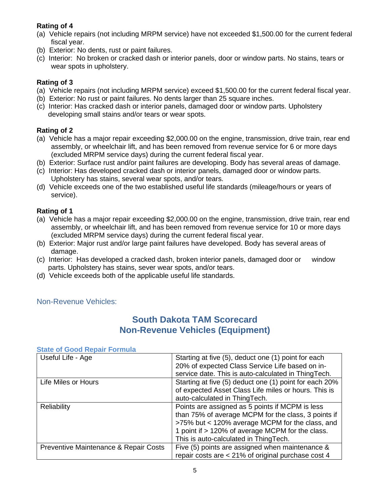#### **Rating of 4**

- (a) Vehicle repairs (not including MRPM service) have not exceeded \$1,500.00 for the current federal fiscal year.
- (b) Exterior: No dents, rust or paint failures.
- (c) Interior: No broken or cracked dash or interior panels, door or window parts. No stains, tears or wear spots in upholstery.

#### **Rating of 3**

- (a) Vehicle repairs (not including MRPM service) exceed \$1,500.00 for the current federal fiscal year.
- (b) Exterior: No rust or paint failures. No dents larger than 25 square inches.
- (c) Interior: Has cracked dash or interior panels, damaged door or window parts. Upholstery developing small stains and/or tears or wear spots.

#### **Rating of 2**

- (a) Vehicle has a major repair exceeding \$2,000.00 on the engine, transmission, drive train, rear end assembly, or wheelchair lift, and has been removed from revenue service for 6 or more days (excluded MRPM service days) during the current federal fiscal year.
- (b) Exterior: Surface rust and/or paint failures are developing. Body has several areas of damage.
- (c) Interior: Has developed cracked dash or interior panels, damaged door or window parts. Upholstery has stains, several wear spots, and/or tears.
- (d) Vehicle exceeds one of the two established useful life standards (mileage/hours or years of service).

#### **Rating of 1**

- (a) Vehicle has a major repair exceeding \$2,000.00 on the engine, transmission, drive train, rear end assembly, or wheelchair lift, and has been removed from revenue service for 10 or more days (excluded MRPM service days) during the current federal fiscal year.
- (b) Exterior: Major rust and/or large paint failures have developed. Body has several areas of damage.
- (c) Interior: Has developed a cracked dash, broken interior panels, damaged door or window parts. Upholstery has stains, sever wear spots, and/or tears.
- (d) Vehicle exceeds both of the applicable useful life standards.

#### Non-Revenue Vehicles:

### **South Dakota TAM Scorecard Non-Revenue Vehicles (Equipment)**

| 0.000 UUUU RUDUI TURIMU               |                                                        |
|---------------------------------------|--------------------------------------------------------|
| Useful Life - Age                     | Starting at five (5), deduct one (1) point for each    |
|                                       | 20% of expected Class Service Life based on in-        |
|                                       | service date. This is auto-calculated in ThingTech.    |
| Life Miles or Hours                   | Starting at five (5) deduct one (1) point for each 20% |
|                                       | of expected Asset Class Life miles or hours. This is   |
|                                       | auto-calculated in ThingTech.                          |
| <b>Reliability</b>                    | Points are assigned as 5 points if MCPM is less        |
|                                       | than 75% of average MCPM for the class, 3 points if    |
|                                       | >75% but < 120% average MCPM for the class, and        |
|                                       | 1 point if > 120% of average MCPM for the class.       |
|                                       | This is auto-calculated in ThingTech.                  |
| Preventive Maintenance & Repair Costs | Five (5) points are assigned when maintenance &        |
|                                       | repair costs are < 21% of original purchase cost 4     |

#### **State of Good Repair Formula**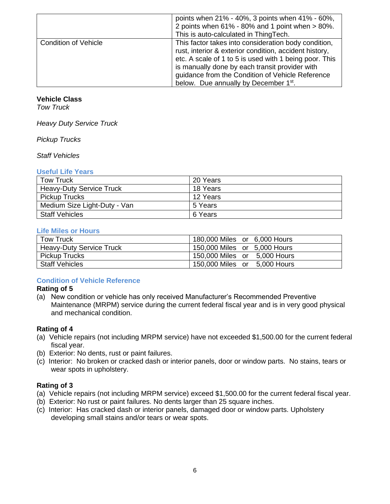|                             | points when 21% - 40%, 3 points when 41% - 60%,<br>2 points when 61% - 80% and 1 point when > 80%.<br>This is auto-calculated in ThingTech.                                                                                                                                                                            |
|-----------------------------|------------------------------------------------------------------------------------------------------------------------------------------------------------------------------------------------------------------------------------------------------------------------------------------------------------------------|
| <b>Condition of Vehicle</b> | This factor takes into consideration body condition,<br>rust, interior & exterior condition, accident history,<br>etc. A scale of 1 to 5 is used with 1 being poor. This<br>is manually done by each transit provider with<br>guidance from the Condition of Vehicle Reference<br>below. Due annually by December 1st. |

#### **Vehicle Class**

*Tow Truck*

*Heavy Duty Service Truck*

*Pickup Trucks*

*Staff Vehicles*

#### **Useful Life Years**

| <b>Tow Truck</b>                | 20 Years |
|---------------------------------|----------|
| <b>Heavy-Duty Service Truck</b> | 18 Years |
| <b>Pickup Trucks</b>            | 12 Years |
| Medium Size Light-Duty - Van    | 5 Years  |
| <b>Staff Vehicles</b>           | 6 Years  |

#### **Life Miles or Hours**

| Tow Truck                       | 180,000 Miles or 6,000 Hours |
|---------------------------------|------------------------------|
| <b>Heavy-Duty Service Truck</b> | 150,000 Miles or 5,000 Hours |
| <b>Pickup Trucks</b>            | 150,000 Miles or 5,000 Hours |
| <b>Staff Vehicles</b>           | 150,000 Miles or 5,000 Hours |

#### **Condition of Vehicle Reference**

#### **Rating of 5**

(a) New condition or vehicle has only received Manufacturer's Recommended Preventive Maintenance (MRPM) service during the current federal fiscal year and is in very good physical and mechanical condition.

#### **Rating of 4**

- (a) Vehicle repairs (not including MRPM service) have not exceeded \$1,500.00 for the current federal fiscal year.
- (b) Exterior: No dents, rust or paint failures.
- (c) Interior: No broken or cracked dash or interior panels, door or window parts. No stains, tears or wear spots in upholstery.

#### **Rating of 3**

- (a) Vehicle repairs (not including MRPM service) exceed \$1,500.00 for the current federal fiscal year.
- (b) Exterior: No rust or paint failures. No dents larger than 25 square inches.
- (c) Interior: Has cracked dash or interior panels, damaged door or window parts. Upholstery developing small stains and/or tears or wear spots.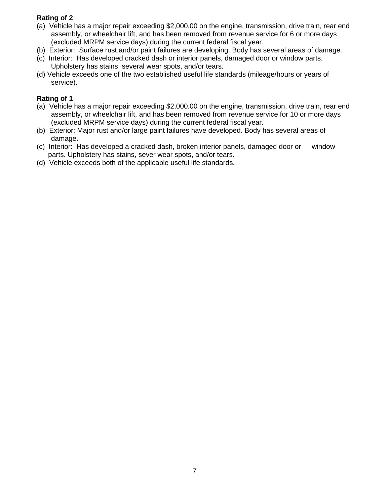#### **Rating of 2**

- (a) Vehicle has a major repair exceeding \$2,000.00 on the engine, transmission, drive train, rear end assembly, or wheelchair lift, and has been removed from revenue service for 6 or more days (excluded MRPM service days) during the current federal fiscal year.
- (b) Exterior: Surface rust and/or paint failures are developing. Body has several areas of damage.
- (c) Interior: Has developed cracked dash or interior panels, damaged door or window parts. Upholstery has stains, several wear spots, and/or tears.
- (d) Vehicle exceeds one of the two established useful life standards (mileage/hours or years of service).

#### **Rating of 1**

- (a) Vehicle has a major repair exceeding \$2,000.00 on the engine, transmission, drive train, rear end assembly, or wheelchair lift, and has been removed from revenue service for 10 or more days (excluded MRPM service days) during the current federal fiscal year.
- (b) Exterior: Major rust and/or large paint failures have developed. Body has several areas of damage.
- (c) Interior: Has developed a cracked dash, broken interior panels, damaged door or window parts. Upholstery has stains, sever wear spots, and/or tears.
- (d) Vehicle exceeds both of the applicable useful life standards.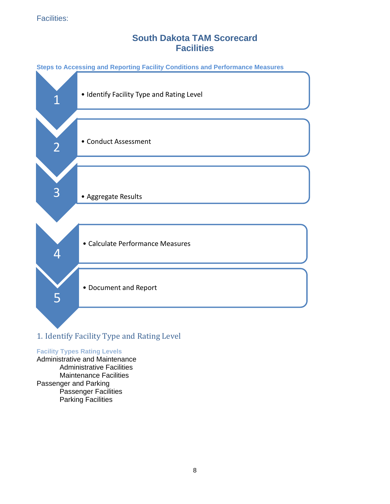### **South Dakota TAM Scorecard Facilities**



### 1. Identify Facility Type and Rating Level

#### **Facility Types Rating Levels**

Administrative and Maintenance Administrative Facilities Maintenance Facilities Passenger and Parking Passenger Facilities Parking Facilities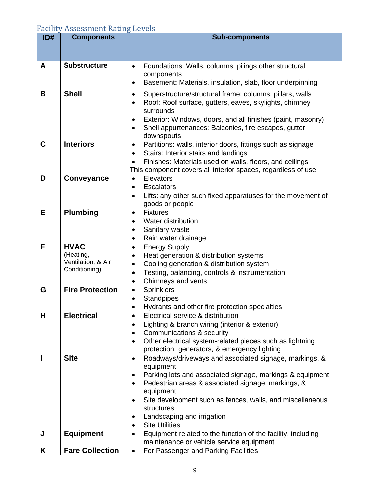### Facility Assessment Rating Levels

| ID# | <b>Components</b>        | <b>Sub-components</b>                                                                                               |  |  |  |
|-----|--------------------------|---------------------------------------------------------------------------------------------------------------------|--|--|--|
|     |                          |                                                                                                                     |  |  |  |
| A   | <b>Substructure</b>      |                                                                                                                     |  |  |  |
|     |                          | Foundations: Walls, columns, pilings other structural<br>components                                                 |  |  |  |
|     |                          | Basement: Materials, insulation, slab, floor underpinning<br>$\bullet$                                              |  |  |  |
| В   | <b>Shell</b>             | Superstructure/structural frame: columns, pillars, walls<br>$\bullet$                                               |  |  |  |
|     |                          | Roof: Roof surface, gutters, eaves, skylights, chimney                                                              |  |  |  |
|     |                          | surrounds                                                                                                           |  |  |  |
|     |                          | Exterior: Windows, doors, and all finishes (paint, masonry)<br>Shell appurtenances: Balconies, fire escapes, gutter |  |  |  |
|     |                          | downspouts                                                                                                          |  |  |  |
| С   | <b>Interiors</b>         | Partitions: walls, interior doors, fittings such as signage<br>$\bullet$                                            |  |  |  |
|     |                          | Stairs: Interior stairs and landings<br>$\bullet$                                                                   |  |  |  |
|     |                          | Finishes: Materials used on walls, floors, and ceilings<br>$\bullet$                                                |  |  |  |
|     |                          | This component covers all interior spaces, regardless of use                                                        |  |  |  |
| D   | Conveyance               | Elevators<br>$\bullet$                                                                                              |  |  |  |
|     |                          | <b>Escalators</b><br>Lifts: any other such fixed apparatuses for the movement of                                    |  |  |  |
|     |                          | goods or people                                                                                                     |  |  |  |
| Е   | <b>Plumbing</b>          | <b>Fixtures</b><br>$\bullet$                                                                                        |  |  |  |
|     |                          | Water distribution<br>$\bullet$                                                                                     |  |  |  |
|     |                          | Sanitary waste<br>$\bullet$                                                                                         |  |  |  |
|     |                          | Rain water drainage<br>$\bullet$                                                                                    |  |  |  |
| F   | <b>HVAC</b><br>(Heating, | <b>Energy Supply</b><br>$\bullet$                                                                                   |  |  |  |
|     | Ventilation, & Air       | Heat generation & distribution systems<br>$\bullet$<br>Cooling generation & distribution system<br>$\bullet$        |  |  |  |
|     | Conditioning)            | Testing, balancing, controls & instrumentation<br>$\bullet$                                                         |  |  |  |
|     |                          | Chimneys and vents<br>$\bullet$                                                                                     |  |  |  |
| G   | <b>Fire Protection</b>   | <b>Sprinklers</b><br>$\bullet$                                                                                      |  |  |  |
|     |                          | <b>Standpipes</b><br>$\bullet$                                                                                      |  |  |  |
|     |                          | Hydrants and other fire protection specialties                                                                      |  |  |  |
| н   | <b>Electrical</b>        | Electrical service & distribution<br>$\bullet$                                                                      |  |  |  |
|     |                          | Lighting & branch wiring (interior & exterior)                                                                      |  |  |  |
|     |                          | Communications & security<br>Other electrical system-related pieces such as lightning                               |  |  |  |
|     |                          | protection, generators, & emergency lighting                                                                        |  |  |  |
| ı   | <b>Site</b>              | Roadways/driveways and associated signage, markings, &<br>$\bullet$                                                 |  |  |  |
|     |                          | equipment                                                                                                           |  |  |  |
|     |                          | Parking lots and associated signage, markings & equipment                                                           |  |  |  |
|     |                          | Pedestrian areas & associated signage, markings, &                                                                  |  |  |  |
|     |                          | equipment                                                                                                           |  |  |  |
|     |                          | Site development such as fences, walls, and miscellaneous<br>structures                                             |  |  |  |
|     |                          | Landscaping and irrigation                                                                                          |  |  |  |
|     |                          | <b>Site Utilities</b>                                                                                               |  |  |  |
| J   | <b>Equipment</b>         | Equipment related to the function of the facility, including<br>$\bullet$                                           |  |  |  |
|     |                          | maintenance or vehicle service equipment                                                                            |  |  |  |
| Κ   | <b>Fare Collection</b>   | For Passenger and Parking Facilities<br>$\bullet$                                                                   |  |  |  |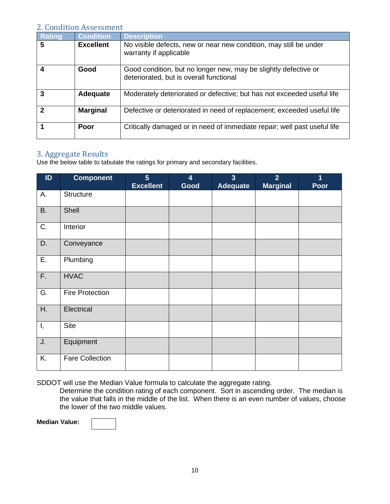#### 2. Condition Assessment

| <b>Rating</b>  | <b>Condition</b> | <b>Description</b>                                                                                         |
|----------------|------------------|------------------------------------------------------------------------------------------------------------|
| 5              | <b>Excellent</b> | No visible defects, new or near new condition, may still be under<br>warranty if applicable                |
| 4              | Good             | Good condition, but no longer new, may be slightly defective or<br>deteriorated, but is overall functional |
| 3              | <b>Adequate</b>  | Moderately deteriorated or defective; but has not exceeded useful life                                     |
| $\overline{2}$ | <b>Marginal</b>  | Defective or deteriorated in need of replacement; exceeded useful life                                     |
|                | Poor             | Critically damaged or in need of immediate repair; well past useful life                                   |

#### 3. Aggregate Results

Use the below table to tabulate the ratings for primary and secondary facilities.

| ID        | <b>Component</b>       | $5\phantom{1}$<br><b>Excellent</b> | 4<br>Good | $\overline{3}$<br><b>Adequate</b> | $\overline{2}$<br><b>Marginal</b> | 1<br>Poor |
|-----------|------------------------|------------------------------------|-----------|-----------------------------------|-----------------------------------|-----------|
| А.        | <b>Structure</b>       |                                    |           |                                   |                                   |           |
| <b>B.</b> | Shell                  |                                    |           |                                   |                                   |           |
| C.        | Interior               |                                    |           |                                   |                                   |           |
| D.        | Conveyance             |                                    |           |                                   |                                   |           |
| Ε.        | Plumbing               |                                    |           |                                   |                                   |           |
| F.        | <b>HVAC</b>            |                                    |           |                                   |                                   |           |
| G.        | <b>Fire Protection</b> |                                    |           |                                   |                                   |           |
| H.        | Electrical             |                                    |           |                                   |                                   |           |
| Ι,        | <b>Site</b>            |                                    |           |                                   |                                   |           |
| J.        | Equipment              |                                    |           |                                   |                                   |           |
| K.        | <b>Fare Collection</b> |                                    |           |                                   |                                   |           |

SDDOT will use the Median Value formula to calculate the aggregate rating.

Determine the condition rating of each component. Sort in ascending order. The median is the value that falls in the middle of the list. When there is an even number of values, choose the lower of the two middle values.

**Median Value:**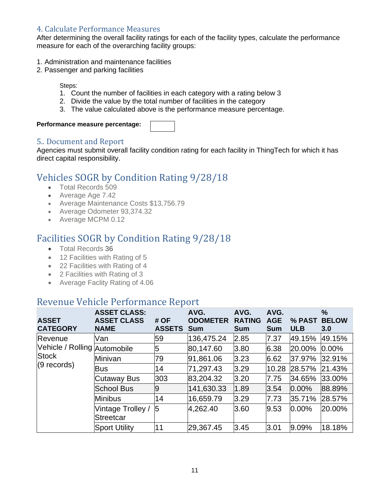#### 4. Calculate Performance Measures

After determining the overall facility ratings for each of the facility types, calculate the performance measure for each of the overarching facility groups:

- 1. Administration and maintenance facilities
- 2. Passenger and parking facilities

Steps:

- 1. Count the number of facilities in each category with a rating below 3
- 2. Divide the value by the total number of facilities in the category
- 3. The value calculated above is the performance measure percentage.

#### **Performance measure percentage:**

#### 5.. Document and Report

Agencies must submit overall facility condition rating for each facility in ThingTech for which it has direct capital responsibility.

### <span id="page-11-0"></span>Vehicles SOGR by Condition Rating 9/28/18

- Total Records 509
- Average Age 7.42
- Average Maintenance Costs \$13,756.79
- Average Odometer 93,374.32
- Average MCPM 0.12

### <span id="page-11-1"></span>Facilities SOGR by Condition Rating 9/28/18

- Total Records 36
- 12 Facilities with Rating of 5
- 22 Facilities with Rating of 4
- 2 Facilities with Rating of 3
- Average Faclity Rating of 4.06

### <span id="page-11-2"></span>Revenue Vehicle Performance Report

| <b>ASSET</b><br><b>CATEGORY</b> | <b>ASSET CLASS:</b><br><b>ASSET CLASS</b><br><b>NAME</b> | # OF<br><b>ASSETS</b> | AVG.<br><b>ODOMETER</b><br><b>Sum</b> | AVG.<br><b>RATING</b><br><b>Sum</b> | AVG.<br><b>AGE</b><br><b>Sum</b> | % PAST<br><b>ULB</b> | $\frac{9}{6}$<br><b>BELOW</b><br>3.0 |
|---------------------------------|----------------------------------------------------------|-----------------------|---------------------------------------|-------------------------------------|----------------------------------|----------------------|--------------------------------------|
| Revenue                         | Van                                                      | 59                    | 136,475.24                            | 2.85                                | 7.37                             | 49.15%               | 49.15%                               |
| Vehicle / Rolling Automobile    |                                                          | 5                     | 80,147.60                             | 3.80                                | 6.38                             | 20.00%               | $0.00\%$                             |
| <b>Stock</b>                    | Minivan                                                  | 79                    | 91,861.06                             | 3.23                                | 6.62                             | 37.97%               | 32.91%                               |
| $(9$ records)                   | Bus                                                      | 14                    | 71,297.43                             | 3.29                                | 10.28                            | 28.57%               | 21.43%                               |
|                                 | Cutaway Bus                                              | 303                   | 83,204.32                             | 3.20                                | 7.75                             | 34.65%               | 33.00%                               |
|                                 | <b>School Bus</b>                                        | 9                     | 141,630.33                            | 1.89                                | 3.54                             | $0.00\%$             | 88.89%                               |
|                                 | <b>Minibus</b>                                           | 14                    | 16,659.79                             | 3.29                                | 7.73                             | 35.71%               | 28.57%                               |
|                                 | Vintage Trolley /<br><b>Streetcar</b>                    | 5                     | 4,262.40                              | 3.60                                | 9.53                             | $0.00\%$             | 20.00%                               |
|                                 | <b>Sport Utility</b>                                     | 11                    | 29,367.45                             | 3.45                                | 3.01                             | 9.09%                | 18.18%                               |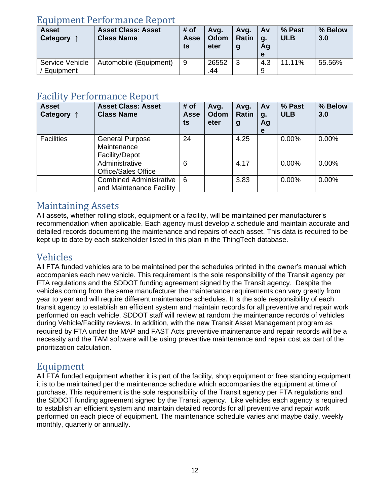### <span id="page-12-0"></span>Equipment Performance Report

| <b>Asset</b><br>Category | <b>Asset Class: Asset</b><br><b>Class Name</b> | # of<br>Asse<br>ts | Avg.<br>Odom<br>eter | Avg.<br><b>Ratin</b><br>g | <b>Av</b><br><b>q.</b><br>Ag<br>е | % Past<br><b>ULB</b> | % Below<br>3.0 |
|--------------------------|------------------------------------------------|--------------------|----------------------|---------------------------|-----------------------------------|----------------------|----------------|
| Service Vehicle          | Automobile (Equipment)                         | -9                 | 26552                | 3                         | 4.3                               | 11.11%               | 55.56%         |
| Equipment                |                                                |                    | .44                  |                           | 9                                 |                      |                |

### <span id="page-12-1"></span>Facility Performance Report

| <b>Asset</b><br>Category $\uparrow$ | <b>Asset Class: Asset</b><br><b>Class Name</b>             | # of<br>Asse<br>ts | Avg.<br>Odom<br>eter | Avg.<br><b>Ratin</b><br>$\boldsymbol{g}$ | Av<br>g.<br>Ag<br>е | % Past<br><b>ULB</b> | % Below<br>3.0 |
|-------------------------------------|------------------------------------------------------------|--------------------|----------------------|------------------------------------------|---------------------|----------------------|----------------|
| <b>Facilities</b>                   | <b>General Purpose</b><br>Maintenance<br>Facility/Depot    | 24                 |                      | 4.25                                     |                     | $0.00\%$             | $0.00\%$       |
|                                     | Administrative<br><b>Office/Sales Office</b>               | 6                  |                      | 4.17                                     |                     | $0.00\%$             | $0.00\%$       |
|                                     | <b>Combined Administrative</b><br>and Maintenance Facility | 6                  |                      | 3.83                                     |                     | 0.00%                | 0.00%          |

### <span id="page-12-2"></span>Maintaining Assets

All assets, whether rolling stock, equipment or a facility, will be maintained per manufacturer's recommendation when applicable. Each agency must develop a schedule and maintain accurate and detailed records documenting the maintenance and repairs of each asset. This data is required to be kept up to date by each stakeholder listed in this plan in the ThingTech database.

### <span id="page-12-3"></span>Vehicles

All FTA funded vehicles are to be maintained per the schedules printed in the owner's manual which accompanies each new vehicle. This requirement is the sole responsibility of the Transit agency per FTA regulations and the SDDOT funding agreement signed by the Transit agency. Despite the vehicles coming from the same manufacturer the maintenance requirements can vary greatly from year to year and will require different maintenance schedules. It is the sole responsibility of each transit agency to establish an efficient system and maintain records for all preventive and repair work performed on each vehicle. SDDOT staff will review at random the maintenance records of vehicles during Vehicle/Facility reviews. In addition, with the new Transit Asset Management program as required by FTA under the MAP and FAST Acts preventive maintenance and repair records will be a necessity and the TAM software will be using preventive maintenance and repair cost as part of the prioritization calculation.

### <span id="page-12-4"></span>Equipment

All FTA funded equipment whether it is part of the facility, shop equipment or free standing equipment it is to be maintained per the maintenance schedule which accompanies the equipment at time of purchase. This requirement is the sole responsibility of the Transit agency per FTA regulations and the SDDOT funding agreement signed by the Transit agency. Like vehicles each agency is required to establish an efficient system and maintain detailed records for all preventive and repair work performed on each piece of equipment. The maintenance schedule varies and maybe daily, weekly monthly, quarterly or annually.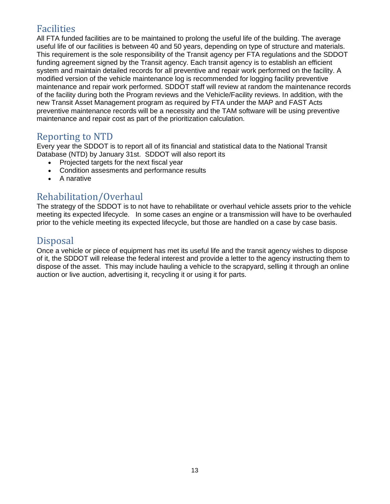### <span id="page-13-0"></span>Facilities

All FTA funded facilities are to be maintained to prolong the useful life of the building. The average useful life of our facilities is between 40 and 50 years, depending on type of structure and materials. This requirement is the sole responsibility of the Transit agency per FTA regulations and the SDDOT funding agreement signed by the Transit agency. Each transit agency is to establish an efficient system and maintain detailed records for all preventive and repair work performed on the facility. A modified version of the vehicle maintenance log is recommended for logging facility preventive maintenance and repair work performed. SDDOT staff will review at random the maintenance records of the facility during both the Program reviews and the Vehicle/Facility reviews. In addition, with the new Transit Asset Management program as required by FTA under the MAP and FAST Acts preventive maintenance records will be a necessity and the TAM software will be using preventive maintenance and repair cost as part of the prioritization calculation.

### <span id="page-13-1"></span>Reporting to NTD

Every year the SDDOT is to report all of its financial and statistical data to the National Transit Database (NTD) by January 31st. SDDOT will also report its

- Projected targets for the next fiscal year
- Condition assesments and performance results
- A narative

### <span id="page-13-2"></span>Rehabilitation/Overhaul

The strategy of the SDDOT is to not have to rehabilitate or overhaul vehicle assets prior to the vehicle meeting its expected lifecycle. In some cases an engine or a transmission will have to be overhauled prior to the vehicle meeting its expected lifecycle, but those are handled on a case by case basis.

### <span id="page-13-3"></span>Disposal

Once a vehicle or piece of equipment has met its useful life and the transit agency wishes to dispose of it, the SDDOT will release the federal interest and provide a letter to the agency instructing them to dispose of the asset. This may include hauling a vehicle to the scrapyard, selling it through an online auction or live auction, advertising it, recycling it or using it for parts.